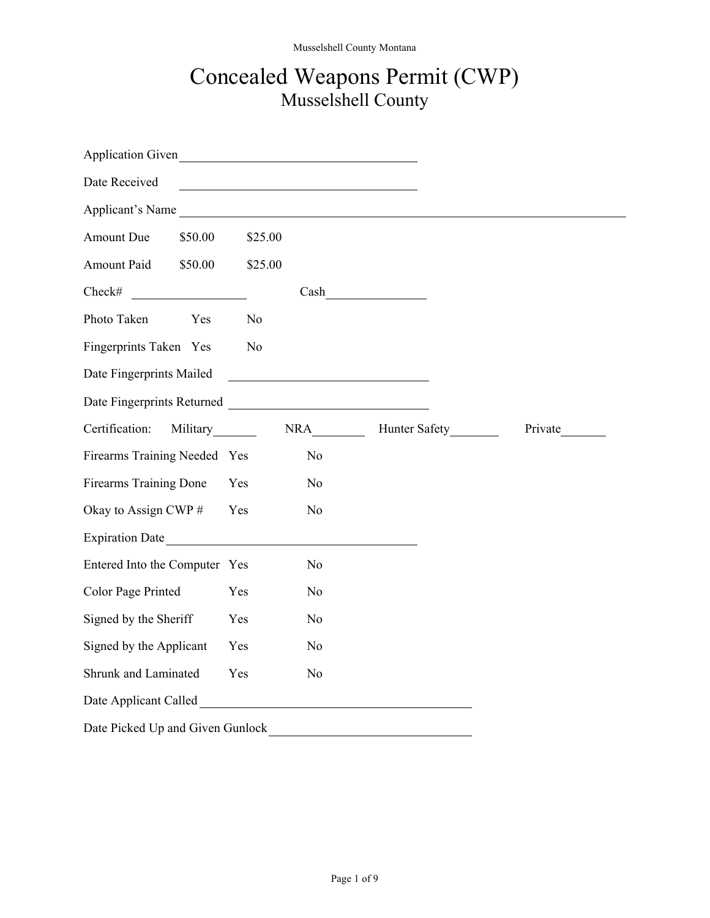## Concealed Weapons Permit (CWP) Musselshell County

| Application Given                                                                                                                                                                                                                    |                |                |                   |         |
|--------------------------------------------------------------------------------------------------------------------------------------------------------------------------------------------------------------------------------------|----------------|----------------|-------------------|---------|
| Date Received                                                                                                                                                                                                                        |                |                |                   |         |
| Applicant's Name                                                                                                                                                                                                                     |                |                |                   |         |
| Amount Due<br>\$50.00                                                                                                                                                                                                                | \$25.00        |                |                   |         |
| Amount Paid<br>\$50.00                                                                                                                                                                                                               | \$25.00        |                |                   |         |
| Check#                                                                                                                                                                                                                               |                |                | Cash              |         |
| Photo Taken<br>Yes                                                                                                                                                                                                                   | N <sub>o</sub> |                |                   |         |
| Fingerprints Taken Yes                                                                                                                                                                                                               | N <sub>o</sub> |                |                   |         |
| Date Fingerprints Mailed                                                                                                                                                                                                             |                |                |                   |         |
|                                                                                                                                                                                                                                      |                |                |                   |         |
| Certification:<br>Military________                                                                                                                                                                                                   |                |                | NRA Hunter Safety | Private |
| Firearms Training Needed Yes                                                                                                                                                                                                         |                | N <sub>o</sub> |                   |         |
| <b>Firearms Training Done</b>                                                                                                                                                                                                        | Yes            | N <sub>0</sub> |                   |         |
| Okay to Assign CWP #                                                                                                                                                                                                                 | Yes            | N <sub>o</sub> |                   |         |
| Expiration Date                                                                                                                                                                                                                      |                |                |                   |         |
| Entered Into the Computer Yes                                                                                                                                                                                                        |                | N <sub>0</sub> |                   |         |
| Color Page Printed                                                                                                                                                                                                                   | Yes            | N <sub>0</sub> |                   |         |
| Signed by the Sheriff                                                                                                                                                                                                                | Yes            | N <sub>o</sub> |                   |         |
| Signed by the Applicant                                                                                                                                                                                                              | Yes            | N <sub>0</sub> |                   |         |
| Shrunk and Laminated                                                                                                                                                                                                                 | Yes            | N <sub>0</sub> |                   |         |
| Date Applicant Called <b>Exercise 2.2 September 2.2 September 2.3 September 2.3 September 2.3 September 2.3 September 2.3 September 2.3 September 2.4 September 2.4 September 2.4 September 2.4 September 2.4 September 2.4 Sept</b> |                |                |                   |         |
| Date Picked Up and Given Gunlock                                                                                                                                                                                                     |                |                |                   |         |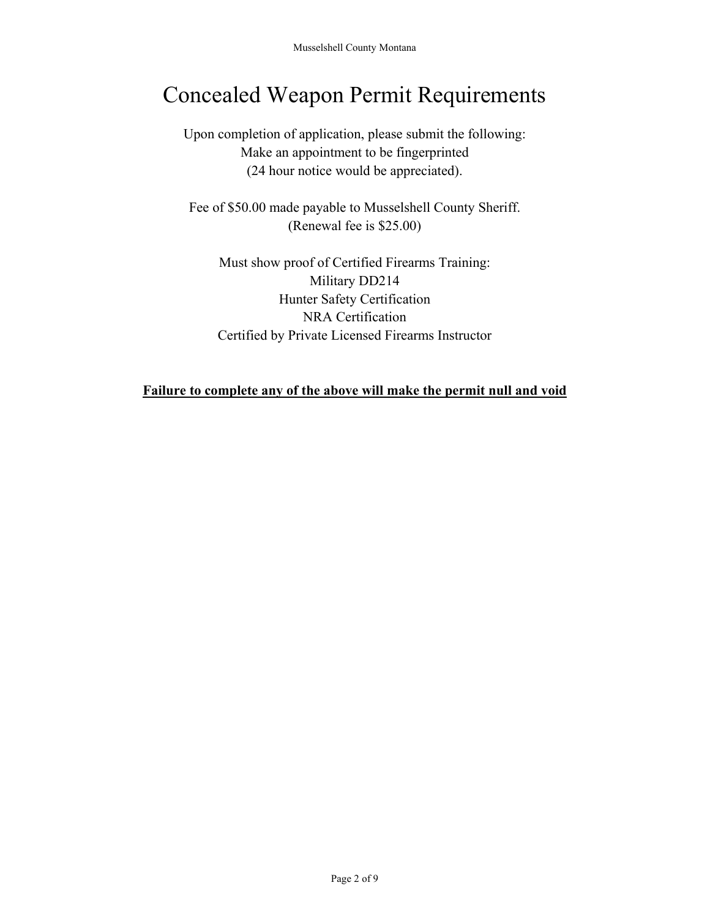# Concealed Weapon Permit Requirements

Upon completion of application, please submit the following: Make an appointment to be fingerprinted (24 hour notice would be appreciated).

Fee of \$50.00 made payable to Musselshell County Sheriff. (Renewal fee is \$25.00)

Must show proof of Certified Firearms Training: Military DD214 Hunter Safety Certification NRA Certification Certified by Private Licensed Firearms Instructor

#### **Failure to complete any of the above will make the permit null and void**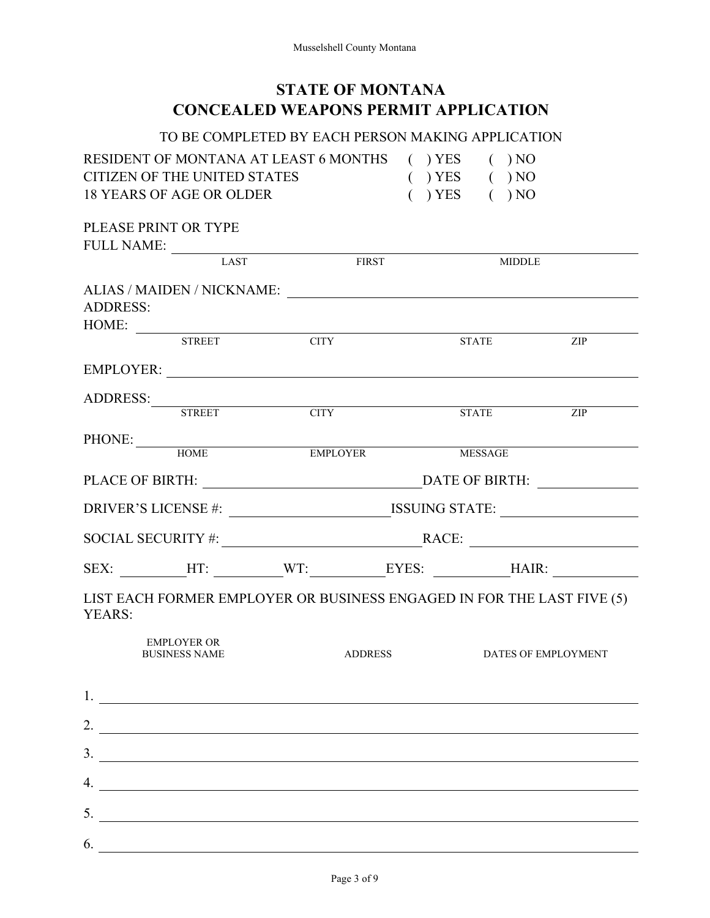## **STATE OF MONTANA CONCEALED WEAPONS PERMIT APPLICATION**

#### TO BE COMPLETED BY EACH PERSON MAKING APPLICATION

| RESIDENT OF MONTANA AT LEAST 6 MONTHS () YES |                    | $($ $)$ NO |
|----------------------------------------------|--------------------|------------|
| CITIZEN OF THE UNITED STATES                 | $( )$ YES $( )$ NO |            |
| 18 YEARS OF AGE OR OLDER                     | $( )$ YES $( )$ NO |            |

PLEASE PRINT OR TYPE

6.

| FULL NAME:               |                                            |                                                                                                                                                                                                                                                                                                                        |                |                |                     |
|--------------------------|--------------------------------------------|------------------------------------------------------------------------------------------------------------------------------------------------------------------------------------------------------------------------------------------------------------------------------------------------------------------------|----------------|----------------|---------------------|
|                          | <b>LAST</b>                                |                                                                                                                                                                                                                                                                                                                        | <b>FIRST</b>   | <b>MIDDLE</b>  |                     |
| <b>ADDRESS:</b><br>HOME: |                                            |                                                                                                                                                                                                                                                                                                                        |                |                |                     |
|                          | <b>STREET</b>                              | <b>CITY</b>                                                                                                                                                                                                                                                                                                            |                | <b>STATE</b>   | ZIP                 |
|                          |                                            | EMPLOYER:                                                                                                                                                                                                                                                                                                              |                |                |                     |
|                          |                                            | ADDRESS: STREET CITY                                                                                                                                                                                                                                                                                                   |                | <b>STATE</b>   | ZIP                 |
|                          |                                            |                                                                                                                                                                                                                                                                                                                        |                |                |                     |
|                          | PHONE: HOME                                | <b>EMPLOYER</b>                                                                                                                                                                                                                                                                                                        |                | <b>MESSAGE</b> |                     |
|                          |                                            |                                                                                                                                                                                                                                                                                                                        |                |                |                     |
|                          |                                            | DRIVER'S LICENSE #: ______________________________ISSUING STATE: ________________                                                                                                                                                                                                                                      |                |                |                     |
|                          |                                            | SOCIAL SECURITY #: RACE:                                                                                                                                                                                                                                                                                               |                |                |                     |
|                          |                                            | SEX: _________HT: _________WT: __________EYES: __________HAIR: _________________                                                                                                                                                                                                                                       |                |                |                     |
| YEARS:                   |                                            | LIST EACH FORMER EMPLOYER OR BUSINESS ENGAGED IN FOR THE LAST FIVE (5)                                                                                                                                                                                                                                                 |                |                |                     |
|                          | <b>EMPLOYER OR</b><br><b>BUSINESS NAME</b> |                                                                                                                                                                                                                                                                                                                        | <b>ADDRESS</b> |                | DATES OF EMPLOYMENT |
|                          |                                            | $1.$ $\frac{1}{\sqrt{1-\frac{1}{2}}\left(1-\frac{1}{2}\right)}$                                                                                                                                                                                                                                                        |                |                |                     |
|                          |                                            | 2. $\frac{1}{2}$ $\frac{1}{2}$ $\frac{1}{2}$ $\frac{1}{2}$ $\frac{1}{2}$ $\frac{1}{2}$ $\frac{1}{2}$ $\frac{1}{2}$ $\frac{1}{2}$ $\frac{1}{2}$ $\frac{1}{2}$ $\frac{1}{2}$ $\frac{1}{2}$ $\frac{1}{2}$ $\frac{1}{2}$ $\frac{1}{2}$ $\frac{1}{2}$ $\frac{1}{2}$ $\frac{1}{2}$ $\frac{1}{2}$ $\frac{1}{2}$ $\frac{1}{2}$ |                |                |                     |
|                          |                                            | $\frac{3}{2}$ $\frac{1}{2}$ $\frac{3}{2}$ $\frac{1}{2}$ $\frac{1}{2}$ $\frac{1}{2}$ $\frac{1}{2}$ $\frac{1}{2}$ $\frac{1}{2}$ $\frac{1}{2}$ $\frac{1}{2}$ $\frac{1}{2}$ $\frac{1}{2}$ $\frac{1}{2}$ $\frac{1}{2}$ $\frac{1}{2}$ $\frac{1}{2}$ $\frac{1}{2}$ $\frac{1}{2}$ $\frac{1}{2}$ $\frac{1}{2}$ $\frac{1}{2}$    |                |                |                     |
|                          |                                            | 4.                                                                                                                                                                                                                                                                                                                     |                |                |                     |
|                          | 5.                                         |                                                                                                                                                                                                                                                                                                                        |                |                |                     |
|                          |                                            |                                                                                                                                                                                                                                                                                                                        |                |                |                     |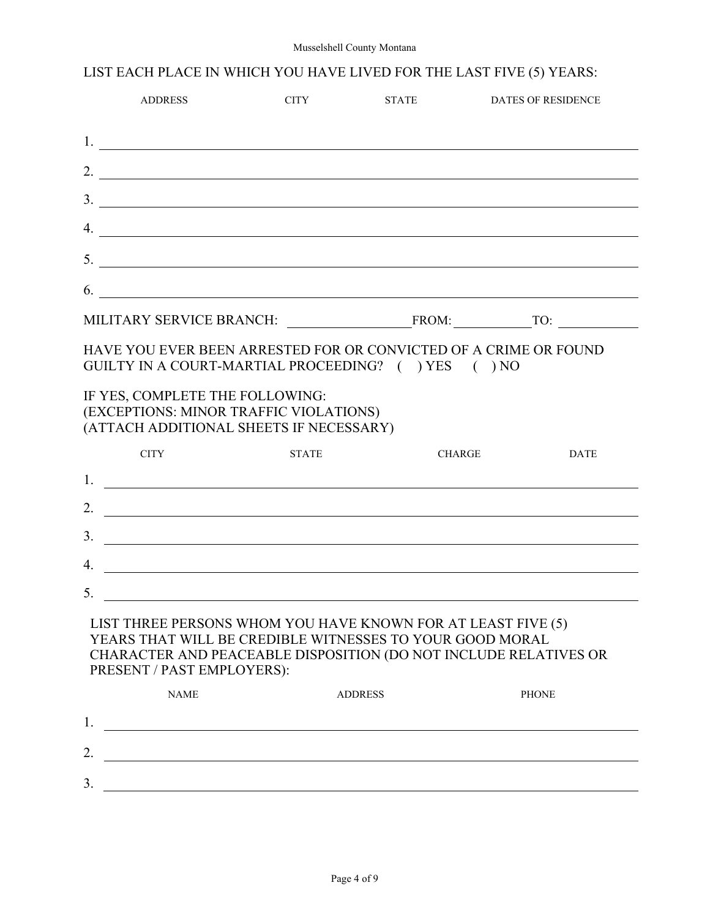#### Musselshell County Montana

## LIST EACH PLACE IN WHICH YOU HAVE LIVED FOR THE LAST FIVE (5) YEARS:

|                | <b>ADDRESS</b>                                                                                                                                                                                                                                   | <b>CITY</b>    | <b>STATE</b>  | <b>DATES OF RESIDENCE</b>                                                                                                                                                                                                                                                                                              |
|----------------|--------------------------------------------------------------------------------------------------------------------------------------------------------------------------------------------------------------------------------------------------|----------------|---------------|------------------------------------------------------------------------------------------------------------------------------------------------------------------------------------------------------------------------------------------------------------------------------------------------------------------------|
|                |                                                                                                                                                                                                                                                  |                |               |                                                                                                                                                                                                                                                                                                                        |
|                |                                                                                                                                                                                                                                                  |                |               | 2. $\frac{1}{2}$ $\frac{1}{2}$ $\frac{1}{2}$ $\frac{1}{2}$ $\frac{1}{2}$ $\frac{1}{2}$ $\frac{1}{2}$ $\frac{1}{2}$ $\frac{1}{2}$ $\frac{1}{2}$ $\frac{1}{2}$ $\frac{1}{2}$ $\frac{1}{2}$ $\frac{1}{2}$ $\frac{1}{2}$ $\frac{1}{2}$ $\frac{1}{2}$ $\frac{1}{2}$ $\frac{1}{2}$ $\frac{1}{2}$ $\frac{1}{2}$ $\frac{1}{2}$ |
|                |                                                                                                                                                                                                                                                  |                |               |                                                                                                                                                                                                                                                                                                                        |
|                |                                                                                                                                                                                                                                                  |                |               | $\mathcal{A}$ .                                                                                                                                                                                                                                                                                                        |
|                |                                                                                                                                                                                                                                                  |                |               |                                                                                                                                                                                                                                                                                                                        |
|                |                                                                                                                                                                                                                                                  |                |               | $\frac{1}{2}$                                                                                                                                                                                                                                                                                                          |
|                |                                                                                                                                                                                                                                                  |                |               |                                                                                                                                                                                                                                                                                                                        |
|                | HAVE YOU EVER BEEN ARRESTED FOR OR CONVICTED OF A CRIME OR FOUND<br>GUILTY IN A COURT-MARTIAL PROCEEDING? ( ) YES ( ) NO<br>IF YES, COMPLETE THE FOLLOWING:<br>(EXCEPTIONS: MINOR TRAFFIC VIOLATIONS)<br>(ATTACH ADDITIONAL SHEETS IF NECESSARY) |                |               |                                                                                                                                                                                                                                                                                                                        |
|                | <b>CITY</b>                                                                                                                                                                                                                                      | <b>STATE</b>   | <b>CHARGE</b> | DATE                                                                                                                                                                                                                                                                                                                   |
|                | 1.                                                                                                                                                                                                                                               |                |               |                                                                                                                                                                                                                                                                                                                        |
|                |                                                                                                                                                                                                                                                  |                |               | 2. $\frac{1}{2}$ $\frac{1}{2}$ $\frac{1}{2}$ $\frac{1}{2}$ $\frac{1}{2}$ $\frac{1}{2}$ $\frac{1}{2}$ $\frac{1}{2}$ $\frac{1}{2}$ $\frac{1}{2}$ $\frac{1}{2}$ $\frac{1}{2}$ $\frac{1}{2}$ $\frac{1}{2}$ $\frac{1}{2}$ $\frac{1}{2}$ $\frac{1}{2}$ $\frac{1}{2}$ $\frac{1}{2}$ $\frac{1}{2}$ $\frac{1}{2}$ $\frac{1}{2}$ |
|                |                                                                                                                                                                                                                                                  |                |               |                                                                                                                                                                                                                                                                                                                        |
| 3 <sub>1</sub> | <u> 1989 - Andrea Santa Andrea Andrea Andrea Andrea Andrea Andrea Andrea Andrea Andrea Andrea Andrea Andrea Andr</u>                                                                                                                             |                |               |                                                                                                                                                                                                                                                                                                                        |
| 4.             |                                                                                                                                                                                                                                                  |                |               | <u> 1989 - Andrea Santa Alemania, amerikana amerikana amerikana amerikana amerikana amerikana amerikana amerikan</u>                                                                                                                                                                                                   |
| 5.             | LIST THREE PERSONS WHOM YOU HAVE KNOWN FOR AT LEAST FIVE (5)<br>YEARS THAT WILL BE CREDIBLE WITNESSES TO YOUR GOOD MORAL<br>CHARACTER AND PEACEABLE DISPOSITION (DO NOT INCLUDE RELATIVES OR<br>PRESENT / PAST EMPLOYERS):                       |                |               |                                                                                                                                                                                                                                                                                                                        |
|                | <b>NAME</b>                                                                                                                                                                                                                                      | <b>ADDRESS</b> |               | <b>PHONE</b>                                                                                                                                                                                                                                                                                                           |
|                |                                                                                                                                                                                                                                                  |                |               |                                                                                                                                                                                                                                                                                                                        |
|                |                                                                                                                                                                                                                                                  |                |               | 2. $\frac{1}{2}$ $\frac{1}{2}$ $\frac{1}{2}$ $\frac{1}{2}$ $\frac{1}{2}$ $\frac{1}{2}$ $\frac{1}{2}$ $\frac{1}{2}$ $\frac{1}{2}$ $\frac{1}{2}$ $\frac{1}{2}$ $\frac{1}{2}$ $\frac{1}{2}$ $\frac{1}{2}$ $\frac{1}{2}$ $\frac{1}{2}$ $\frac{1}{2}$ $\frac{1}{2}$ $\frac{1}{2}$ $\frac{1}{2}$ $\frac{1}{2}$ $\frac{1}{2}$ |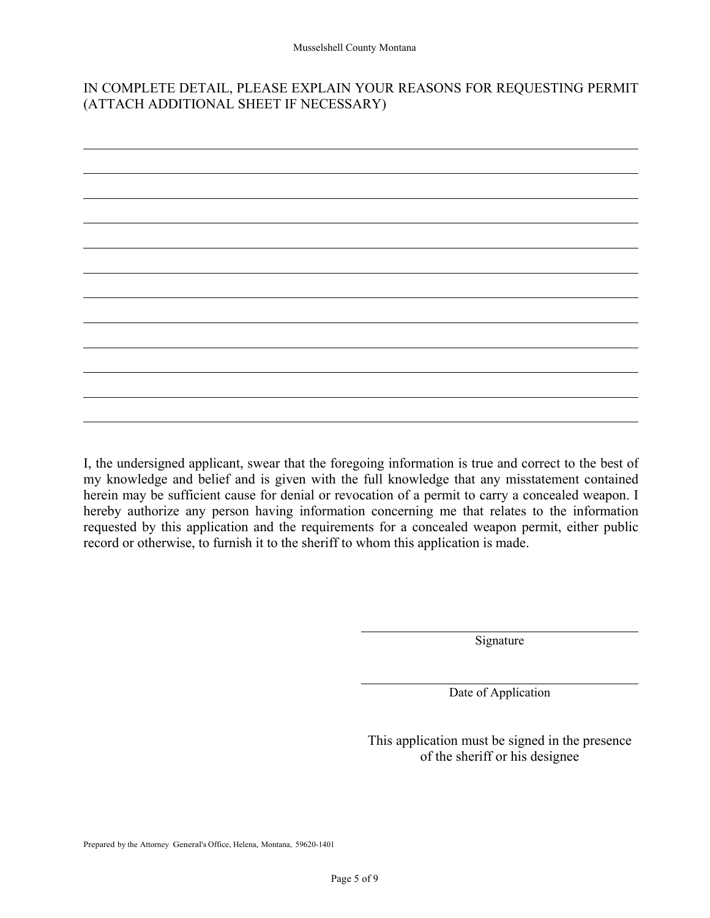#### IN COMPLETE DETAIL, PLEASE EXPLAIN YOUR REASONS FOR REQUESTING PERMIT (ATTACH ADDITIONAL SHEET IF NECESSARY)



I, the undersigned applicant, swear that the foregoing information is true and correct to the best of my knowledge and belief and is given with the full knowledge that any misstatement contained herein may be sufficient cause for denial or revocation of a permit to carry a concealed weapon. I hereby authorize any person having information concerning me that relates to the information requested by this application and the requirements for a concealed weapon permit, either public record or otherwise, to furnish it to the sheriff to whom this application is made.

Signature

Date of Application

This application must be signed in the presence of the sheriff or his designee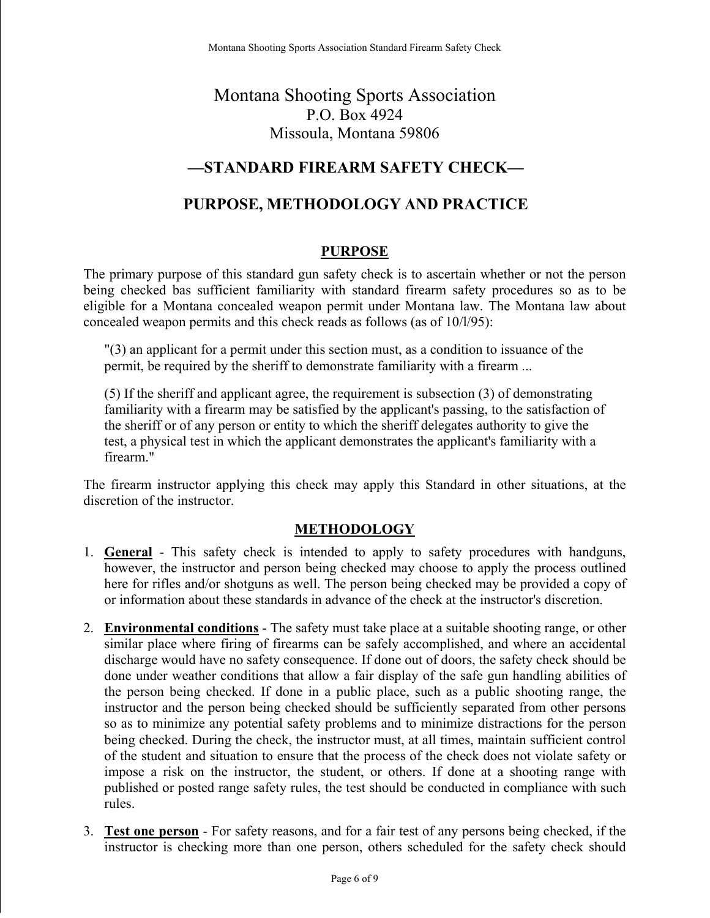## Montana Shooting Sports Association P.O. Box 4924 Missoula, Montana 59806

## **—STANDARD FIREARM SAFETY CHECK—**

## **PURPOSE, METHODOLOGY AND PRACTICE**

#### **PURPOSE**

The primary purpose of this standard gun safety check is to ascertain whether or not the person being checked bas sufficient familiarity with standard firearm safety procedures so as to be eligible for a Montana concealed weapon permit under Montana law. The Montana law about concealed weapon permits and this check reads as follows (as of 10/l/95):

"(3) an applicant for a permit under this section must, as a condition to issuance of the permit, be required by the sheriff to demonstrate familiarity with a firearm ...

(5) If the sheriff and applicant agree, the requirement is subsection (3) of demonstrating familiarity with a firearm may be satisfied by the applicant's passing, to the satisfaction of the sheriff or of any person or entity to which the sheriff delegates authority to give the test, a physical test in which the applicant demonstrates the applicant's familiarity with a firearm."

The firearm instructor applying this check may apply this Standard in other situations, at the discretion of the instructor.

#### **METHODOLOGY**

- 1. **General** This safety check is intended to apply to safety procedures with handguns, however, the instructor and person being checked may choose to apply the process outlined here for rifles and/or shotguns as well. The person being checked may be provided a copy of or information about these standards in advance of the check at the instructor's discretion.
- 2. **Environmental conditions** The safety must take place at a suitable shooting range, or other similar place where firing of firearms can be safely accomplished, and where an accidental discharge would have no safety consequence. If done out of doors, the safety check should be done under weather conditions that allow a fair display of the safe gun handling abilities of the person being checked. If done in a public place, such as a public shooting range, the instructor and the person being checked should be sufficiently separated from other persons so as to minimize any potential safety problems and to minimize distractions for the person being checked. During the check, the instructor must, at all times, maintain sufficient control of the student and situation to ensure that the process of the check does not violate safety or impose a risk on the instructor, the student, or others. If done at a shooting range with published or posted range safety rules, the test should be conducted in compliance with such rules.
- 3. **Test one person** For safety reasons, and for a fair test of any persons being checked, if the instructor is checking more than one person, others scheduled for the safety check should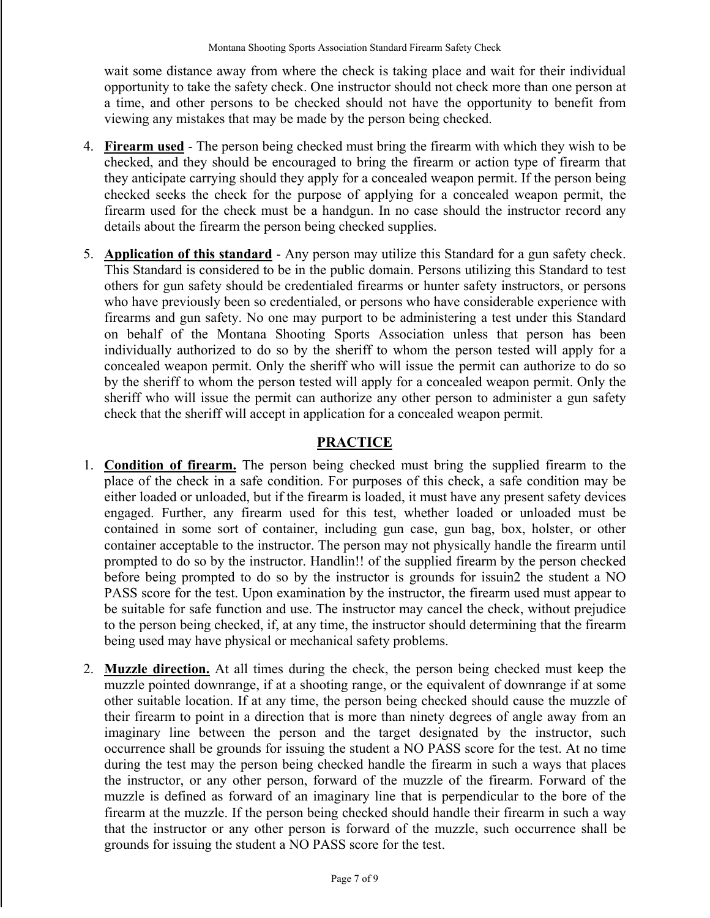wait some distance away from where the check is taking place and wait for their individual opportunity to take the safety check. One instructor should not check more than one person at a time, and other persons to be checked should not have the opportunity to benefit from viewing any mistakes that may be made by the person being checked.

- 4. **Firearm used** The person being checked must bring the firearm with which they wish to be checked, and they should be encouraged to bring the firearm or action type of firearm that they anticipate carrying should they apply for a concealed weapon permit. If the person being checked seeks the check for the purpose of applying for a concealed weapon permit, the firearm used for the check must be a handgun. In no case should the instructor record any details about the firearm the person being checked supplies.
- 5. **Application of this standard** Any person may utilize this Standard for a gun safety check. This Standard is considered to be in the public domain. Persons utilizing this Standard to test others for gun safety should be credentialed firearms or hunter safety instructors, or persons who have previously been so credentialed, or persons who have considerable experience with firearms and gun safety. No one may purport to be administering a test under this Standard on behalf of the Montana Shooting Sports Association unless that person has been individually authorized to do so by the sheriff to whom the person tested will apply for a concealed weapon permit. Only the sheriff who will issue the permit can authorize to do so by the sheriff to whom the person tested will apply for a concealed weapon permit. Only the sheriff who will issue the permit can authorize any other person to administer a gun safety check that the sheriff will accept in application for a concealed weapon permit.

#### **PRACTICE**

- 1. **Condition of firearm.** The person being checked must bring the supplied firearm to the place of the check in a safe condition. For purposes of this check, a safe condition may be either loaded or unloaded, but if the firearm is loaded, it must have any present safety devices engaged. Further, any firearm used for this test, whether loaded or unloaded must be contained in some sort of container, including gun case, gun bag, box, holster, or other container acceptable to the instructor. The person may not physically handle the firearm until prompted to do so by the instructor. Handlin!! of the supplied firearm by the person checked before being prompted to do so by the instructor is grounds for issuin2 the student a NO PASS score for the test. Upon examination by the instructor, the firearm used must appear to be suitable for safe function and use. The instructor may cancel the check, without prejudice to the person being checked, if, at any time, the instructor should determining that the firearm being used may have physical or mechanical safety problems.
- 2. **Muzzle direction.** At all times during the check, the person being checked must keep the muzzle pointed downrange, if at a shooting range, or the equivalent of downrange if at some other suitable location. If at any time, the person being checked should cause the muzzle of their firearm to point in a direction that is more than ninety degrees of angle away from an imaginary line between the person and the target designated by the instructor, such occurrence shall be grounds for issuing the student a NO PASS score for the test. At no time during the test may the person being checked handle the firearm in such a ways that places the instructor, or any other person, forward of the muzzle of the firearm. Forward of the muzzle is defined as forward of an imaginary line that is perpendicular to the bore of the firearm at the muzzle. If the person being checked should handle their firearm in such a way that the instructor or any other person is forward of the muzzle, such occurrence shall be grounds for issuing the student a NO PASS score for the test.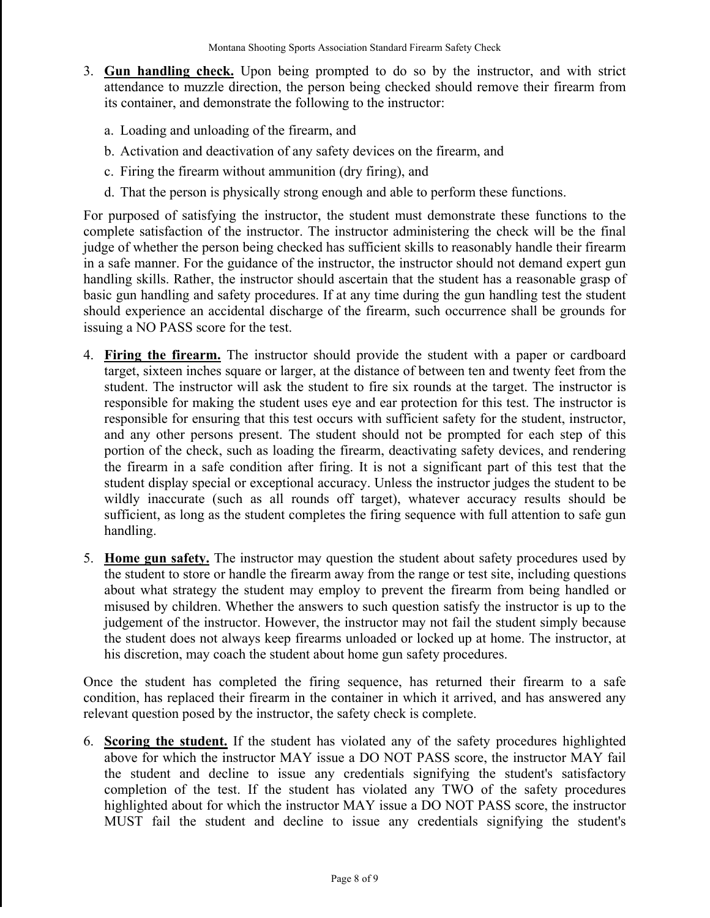- 3. **Gun handling check.** Upon being prompted to do so by the instructor, and with strict attendance to muzzle direction, the person being checked should remove their firearm from its container, and demonstrate the following to the instructor:
	- a. Loading and unloading of the firearm, and
	- b. Activation and deactivation of any safety devices on the firearm, and
	- c. Firing the firearm without ammunition (dry firing), and
	- d. That the person is physically strong enough and able to perform these functions.

For purposed of satisfying the instructor, the student must demonstrate these functions to the complete satisfaction of the instructor. The instructor administering the check will be the final judge of whether the person being checked has sufficient skills to reasonably handle their firearm in a safe manner. For the guidance of the instructor, the instructor should not demand expert gun handling skills. Rather, the instructor should ascertain that the student has a reasonable grasp of basic gun handling and safety procedures. If at any time during the gun handling test the student should experience an accidental discharge of the firearm, such occurrence shall be grounds for issuing a NO PASS score for the test.

- 4. **Firing the firearm.** The instructor should provide the student with a paper or cardboard target, sixteen inches square or larger, at the distance of between ten and twenty feet from the student. The instructor will ask the student to fire six rounds at the target. The instructor is responsible for making the student uses eye and ear protection for this test. The instructor is responsible for ensuring that this test occurs with sufficient safety for the student, instructor, and any other persons present. The student should not be prompted for each step of this portion of the check, such as loading the firearm, deactivating safety devices, and rendering the firearm in a safe condition after firing. It is not a significant part of this test that the student display special or exceptional accuracy. Unless the instructor judges the student to be wildly inaccurate (such as all rounds off target), whatever accuracy results should be sufficient, as long as the student completes the firing sequence with full attention to safe gun handling.
- 5. **Home gun safety.** The instructor may question the student about safety procedures used by the student to store or handle the firearm away from the range or test site, including questions about what strategy the student may employ to prevent the firearm from being handled or misused by children. Whether the answers to such question satisfy the instructor is up to the judgement of the instructor. However, the instructor may not fail the student simply because the student does not always keep firearms unloaded or locked up at home. The instructor, at his discretion, may coach the student about home gun safety procedures.

Once the student has completed the firing sequence, has returned their firearm to a safe condition, has replaced their firearm in the container in which it arrived, and has answered any relevant question posed by the instructor, the safety check is complete.

6. **Scoring the student.** If the student has violated any of the safety procedures highlighted above for which the instructor MAY issue a DO NOT PASS score, the instructor MAY fail the student and decline to issue any credentials signifying the student's satisfactory completion of the test. If the student has violated any TWO of the safety procedures highlighted about for which the instructor MAY issue a DO NOT PASS score, the instructor MUST fail the student and decline to issue any credentials signifying the student's